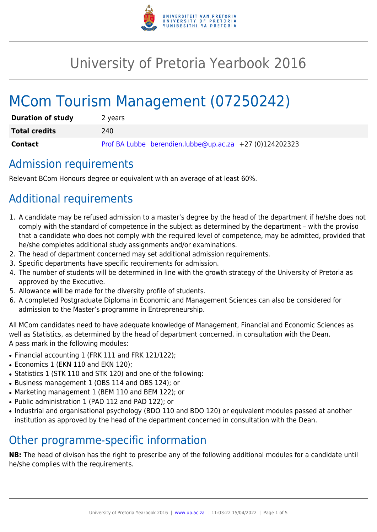

# University of Pretoria Yearbook 2016

# MCom Tourism Management (07250242)

| <b>Duration of study</b> | 2 years                                                 |
|--------------------------|---------------------------------------------------------|
| <b>Total credits</b>     | 240.                                                    |
| Contact                  | Prof BA Lubbe berendien.lubbe@up.ac.za +27 (0)124202323 |

## Admission requirements

Relevant BCom Honours degree or equivalent with an average of at least 60%.

# Additional requirements

- 1. A candidate may be refused admission to a master's degree by the head of the department if he/she does not comply with the standard of competence in the subject as determined by the department – with the proviso that a candidate who does not comply with the required level of competence, may be admitted, provided that he/she completes additional study assignments and/or examinations.
- 2. The head of department concerned may set additional admission requirements.
- 3. Specific departments have specific requirements for admission.
- 4. The number of students will be determined in line with the growth strategy of the University of Pretoria as approved by the Executive.
- 5. Allowance will be made for the diversity profile of students.
- 6. A completed Postgraduate Diploma in Economic and Management Sciences can also be considered for admission to the Master's programme in Entrepreneurship.

All MCom candidates need to have adequate knowledge of Management, Financial and Economic Sciences as well as Statistics, as determined by the head of department concerned, in consultation with the Dean. A pass mark in the following modules:

- Financial accounting 1 (FRK 111 and FRK 121/122);
- Economics 1 (EKN 110 and EKN 120);
- Statistics 1 (STK 110 and STK 120) and one of the following:
- Business management 1 (OBS 114 and OBS 124); or
- Marketing management 1 (BEM 110 and BEM 122); or
- Public administration 1 (PAD 112 and PAD 122); or
- Industrial and organisational psychology (BDO 110 and BDO 120) or equivalent modules passed at another institution as approved by the head of the department concerned in consultation with the Dean.

## Other programme-specific information

**NB:** The head of divison has the right to prescribe any of the following additional modules for a candidate until he/she complies with the requirements.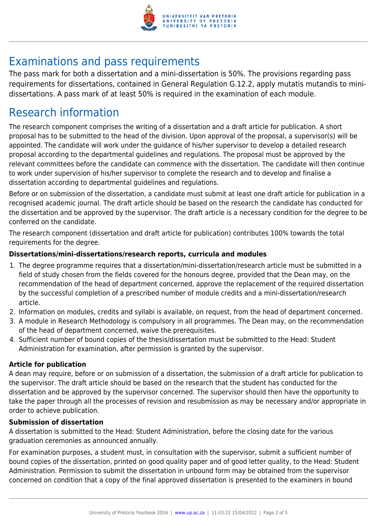

# Examinations and pass requirements

The pass mark for both a dissertation and a mini-dissertation is 50%. The provisions regarding pass requirements for dissertations, contained in General Regulation G.12.2, apply mutatis mutandis to minidissertations. A pass mark of at least 50% is required in the examination of each module.

## Research information

The research component comprises the writing of a dissertation and a draft article for publication. A short proposal has to be submitted to the head of the division. Upon approval of the proposal, a supervisor(s) will be appointed. The candidate will work under the guidance of his/her supervisor to develop a detailed research proposal according to the departmental guidelines and regulations. The proposal must be approved by the relevant committees before the candidate can commence with the dissertation. The candidate will then continue to work under supervision of his/her supervisor to complete the research and to develop and finalise a dissertation according to departmental guidelines and regulations.

Before or on submission of the dissertation, a candidate must submit at least one draft article for publication in a recognised academic journal. The draft article should be based on the research the candidate has conducted for the dissertation and be approved by the supervisor. The draft article is a necessary condition for the degree to be conferred on the candidate.

The research component (dissertation and draft article for publication) contributes 100% towards the total requirements for the degree.

#### **Dissertations/mini-dissertations/research reports, curricula and modules**

- 1. The degree programme requires that a dissertation/mini-dissertation/research article must be submitted in a field of study chosen from the fields covered for the honours degree, provided that the Dean may, on the recommendation of the head of department concerned, approve the replacement of the required dissertation by the successful completion of a prescribed number of module credits and a mini-dissertation/research article.
- 2. Information on modules, credits and syllabi is available, on request, from the head of department concerned.
- 3. A module in Research Methodology is compulsory in all programmes. The Dean may, on the recommendation of the head of department concerned, waive the prerequisites.
- 4. Sufficient number of bound copies of the thesis/dissertation must be submitted to the Head: Student Administration for examination, after permission is granted by the supervisor.

#### **Article for publication**

A dean may require, before or on submission of a dissertation, the submission of a draft article for publication to the supervisor. The draft article should be based on the research that the student has conducted for the dissertation and be approved by the supervisor concerned. The supervisor should then have the opportunity to take the paper through all the processes of revision and resubmission as may be necessary and/or appropriate in order to achieve publication.

#### **Submission of dissertation**

A dissertation is submitted to the Head: Student Administration, before the closing date for the various graduation ceremonies as announced annually.

For examination purposes, a student must, in consultation with the supervisor, submit a sufficient number of bound copies of the dissertation, printed on good quality paper and of good letter quality, to the Head: Student Administration. Permission to submit the dissertation in unbound form may be obtained from the supervisor concerned on condition that a copy of the final approved dissertation is presented to the examiners in bound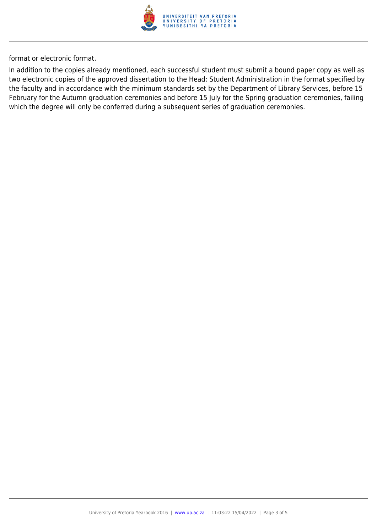

format or electronic format.

In addition to the copies already mentioned, each successful student must submit a bound paper copy as well as two electronic copies of the approved dissertation to the Head: Student Administration in the format specified by the faculty and in accordance with the minimum standards set by the Department of Library Services, before 15 February for the Autumn graduation ceremonies and before 15 July for the Spring graduation ceremonies, failing which the degree will only be conferred during a subsequent series of graduation ceremonies.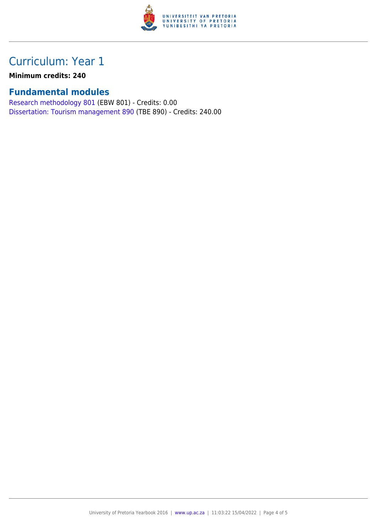

# Curriculum: Year 1

**Minimum credits: 240**

#### **Fundamental modules**

[Research methodology 801](https://www.up.ac.za/parents/yearbooks/2016/modules/view/EBW 801) (EBW 801) - Credits: 0.00 [Dissertation: Tourism management 890](https://www.up.ac.za/parents/yearbooks/2016/modules/view/TBE 890) (TBE 890) - Credits: 240.00